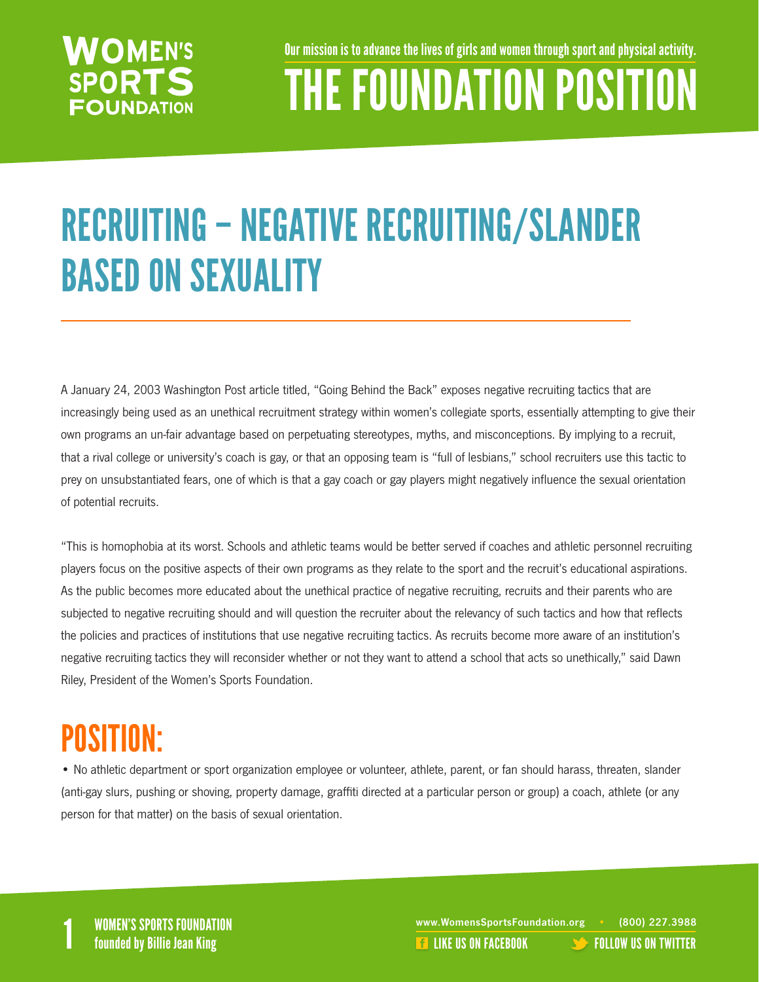#### **WOMEN'S SPORTS FOUNDATION**

Our mission is to advance the lives of girls and women through sport and physical activity.

## THE FOUNDATION POSITION

## RECRUITING – NEGATIVE RECRUITING/SLANDER BASED ON SEXUALITY

A January 24, 2003 Washington Post article titled, "Going Behind the Back" exposes negative recruiting tactics that are increasingly being used as an unethical recruitment strategy within women's collegiate sports, essentially attempting to give their own programs an un-fair advantage based on perpetuating stereotypes, myths, and misconceptions. By implying to a recruit, that a rival college or university's coach is gay, or that an opposing team is "full of lesbians," school recruiters use this tactic to prey on unsubstantiated fears, one of which is that a gay coach or gay players might negatively influence the sexual orientation of potential recruits.

"This is homophobia at its worst. Schools and athletic teams would be better served if coaches and athletic personnel recruiting players focus on the positive aspects of their own programs as they relate to the sport and the recruit's educational aspirations. As the public becomes more educated about the unethical practice of negative recruiting, recruits and their parents who are subjected to negative recruiting should and will question the recruiter about the relevancy of such tactics and how that reflects the policies and practices of institutions that use negative recruiting tactics. As recruits become more aware of an institution's negative recruiting tactics they will reconsider whether or not they want to attend a school that acts so unethically," said Dawn Riley, President of the Women's Sports Foundation.

#### POSITION:

• No athletic department or sport organization employee or volunteer, athlete, parent, or fan should harass, threaten, slander (anti-gay slurs, pushing or shoving, property damage, graffiti directed at a particular person or group) a coach, athlete (or any person for that matter) on the basis of sexual orientation.

WOMEN'S SPORTS FOUNDATION www.WomensSportsFoundation.org • (800) 227.3988<br>1 founded by Billie Jean King the state of the state of the state of the US ON FACEBOOK founded by Billie Jean **E** [LIKE US ON FACEBOOK](https://www.facebook.com/WomensSportsFoundation) **[FOLLOW US ON TWITTER](http://twitter.com/#!/womenssportsfdn)**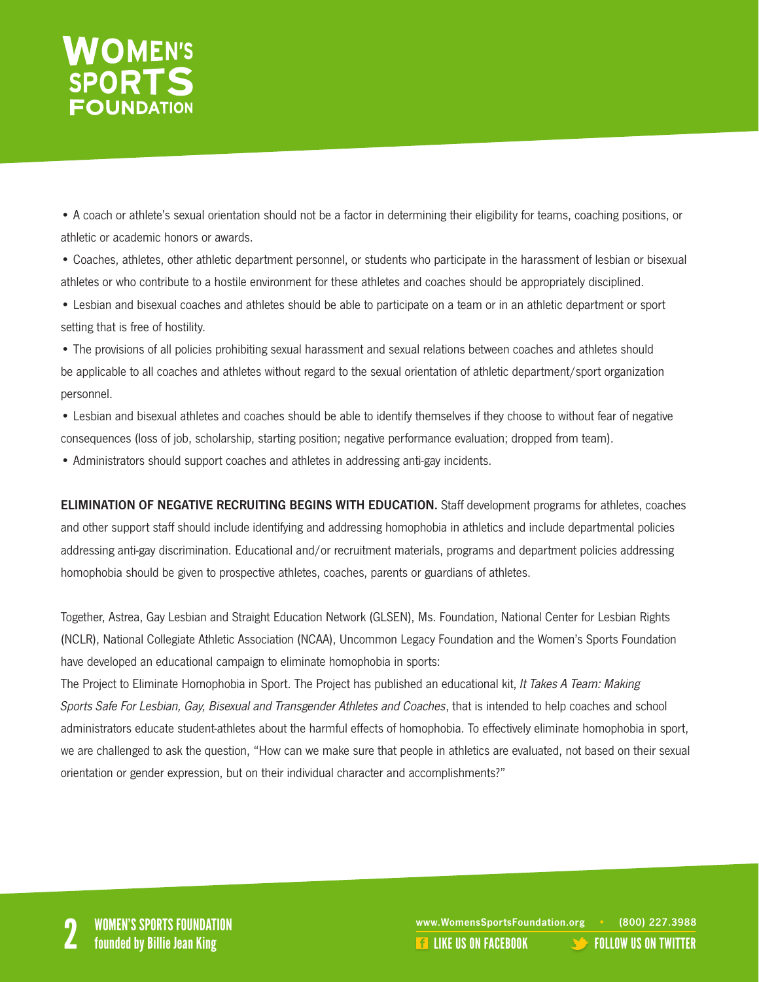# WOMEN'S<br>SPORTS

• A coach or athlete's sexual orientation should not be a factor in determining their eligibility for teams, coaching positions, or athletic or academic honors or awards.

• Coaches, athletes, other athletic department personnel, or students who participate in the harassment of lesbian or bisexual athletes or who contribute to a hostile environment for these athletes and coaches should be appropriately disciplined.

• Lesbian and bisexual coaches and athletes should be able to participate on a team or in an athletic department or sport setting that is free of hostility.

• The provisions of all policies prohibiting sexual harassment and sexual relations between coaches and athletes should be applicable to all coaches and athletes without regard to the sexual orientation of athletic department/sport organization personnel.

• Lesbian and bisexual athletes and coaches should be able to identify themselves if they choose to without fear of negative consequences (loss of job, scholarship, starting position; negative performance evaluation; dropped from team).

• Administrators should support coaches and athletes in addressing anti-gay incidents.

ELIMINATION OF NEGATIVE RECRUITING BEGINS WITH EDUCATION. Staff development programs for athletes, coaches and other support staff should include identifying and addressing homophobia in athletics and include departmental policies addressing anti-gay discrimination. Educational and/or recruitment materials, programs and department policies addressing homophobia should be given to prospective athletes, coaches, parents or guardians of athletes.

Together, Astrea, Gay Lesbian and Straight Education Network (GLSEN), Ms. Foundation, National Center for Lesbian Rights (NCLR), National Collegiate Athletic Association (NCAA), Uncommon Legacy Foundation and the Women's Sports Foundation have developed an educational campaign to eliminate homophobia in sports:

The Project to Eliminate Homophobia in Sport. The Project has published an educational kit, It Takes A Team: Making Sports Safe For Lesbian, Gay, Bisexual and Transgender Athletes and Coaches, that is intended to help coaches and school administrators educate student-athletes about the harmful effects of homophobia. To effectively eliminate homophobia in sport, we are challenged to ask the question, "How can we make sure that people in athletics are evaluated, not based on their sexual orientation or gender expression, but on their individual character and accomplishments?"

www.WomensSportsFoundation.org • (800) 227.3988<br>2 **2 Founded by Billie Jean King** 2 Like US ON FACEBOOK [FOLLOW US ON TWITTER](http://twitter.com/#!/womenssportsfdn)